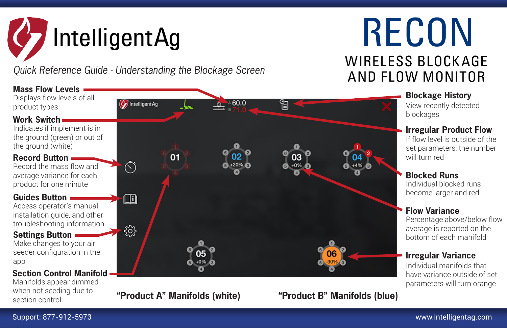# **IntelligentAg**

*Quick Reference Guide - Understanding the Blockage Screen*

## **RECON WIRELESS BLOCKAGE** AND FLOW MONITOR



**Blocked Runs** Individual blocked runs become larger and red

**Flow Variance**

Percentage above/below flow average is reported on the bottom of each manifold

#### **Irregular Variance**

Individual manifolds that have variance outside of set parameters will turn orange

**"Product A" Manifolds (white) "Product B" Manifolds (blue)**

when not seeding due to

section control